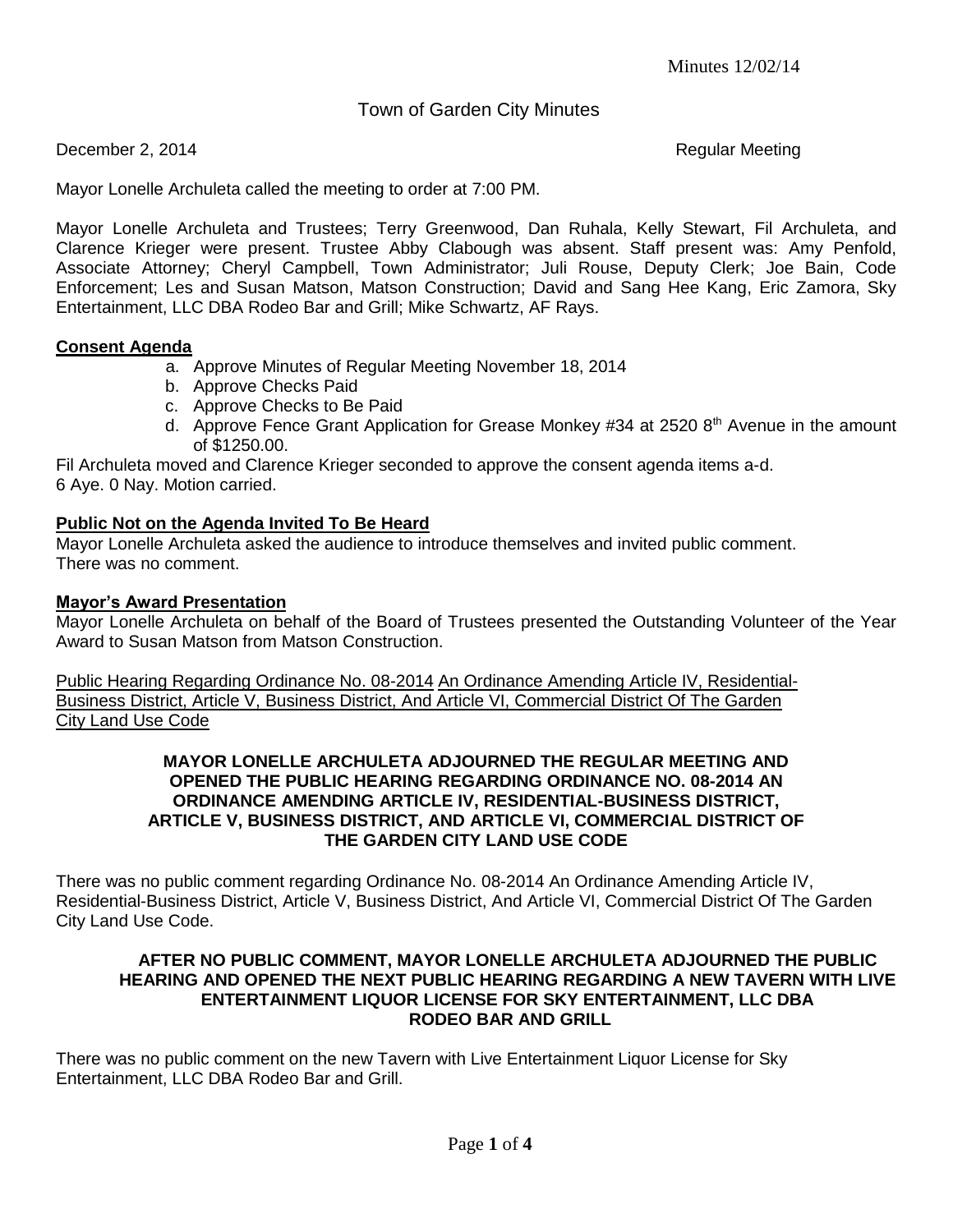Town of Garden City Minutes

December 2, 2014 **Regular Meeting** 

Mayor Lonelle Archuleta called the meeting to order at 7:00 PM.

Mayor Lonelle Archuleta and Trustees; Terry Greenwood, Dan Ruhala, Kelly Stewart, Fil Archuleta, and Clarence Krieger were present. Trustee Abby Clabough was absent. Staff present was: Amy Penfold, Associate Attorney; Cheryl Campbell, Town Administrator; Juli Rouse, Deputy Clerk; Joe Bain, Code Enforcement; Les and Susan Matson, Matson Construction; David and Sang Hee Kang, Eric Zamora, Sky Entertainment, LLC DBA Rodeo Bar and Grill; Mike Schwartz, AF Rays.

# **Consent Agenda**

- a. Approve Minutes of Regular Meeting November 18, 2014
- b. Approve Checks Paid
- c. Approve Checks to Be Paid
- d. Approve Fence Grant Application for Grease Monkey  $\#34$  at 2520  $8<sup>th</sup>$  Avenue in the amount of \$1250.00.

Fil Archuleta moved and Clarence Krieger seconded to approve the consent agenda items a-d. 6 Aye. 0 Nay. Motion carried.

# **Public Not on the Agenda Invited To Be Heard**

Mayor Lonelle Archuleta asked the audience to introduce themselves and invited public comment. There was no comment.

## **Mayor's Award Presentation**

Mayor Lonelle Archuleta on behalf of the Board of Trustees presented the Outstanding Volunteer of the Year Award to Susan Matson from Matson Construction.

Public Hearing Regarding Ordinance No. 08-2014 An Ordinance Amending Article IV, Residential-Business District, Article V, Business District, And Article VI, Commercial District Of The Garden City Land Use Code

#### **MAYOR LONELLE ARCHULETA ADJOURNED THE REGULAR MEETING AND OPENED THE PUBLIC HEARING REGARDING ORDINANCE NO. 08-2014 AN ORDINANCE AMENDING ARTICLE IV, RESIDENTIAL-BUSINESS DISTRICT, ARTICLE V, BUSINESS DISTRICT, AND ARTICLE VI, COMMERCIAL DISTRICT OF THE GARDEN CITY LAND USE CODE**

There was no public comment regarding Ordinance No. 08-2014 An Ordinance Amending Article IV, Residential-Business District, Article V, Business District, And Article VI, Commercial District Of The Garden City Land Use Code.

### **AFTER NO PUBLIC COMMENT, MAYOR LONELLE ARCHULETA ADJOURNED THE PUBLIC HEARING AND OPENED THE NEXT PUBLIC HEARING REGARDING A NEW TAVERN WITH LIVE ENTERTAINMENT LIQUOR LICENSE FOR SKY ENTERTAINMENT, LLC DBA RODEO BAR AND GRILL**

There was no public comment on the new Tavern with Live Entertainment Liquor License for Sky Entertainment, LLC DBA Rodeo Bar and Grill.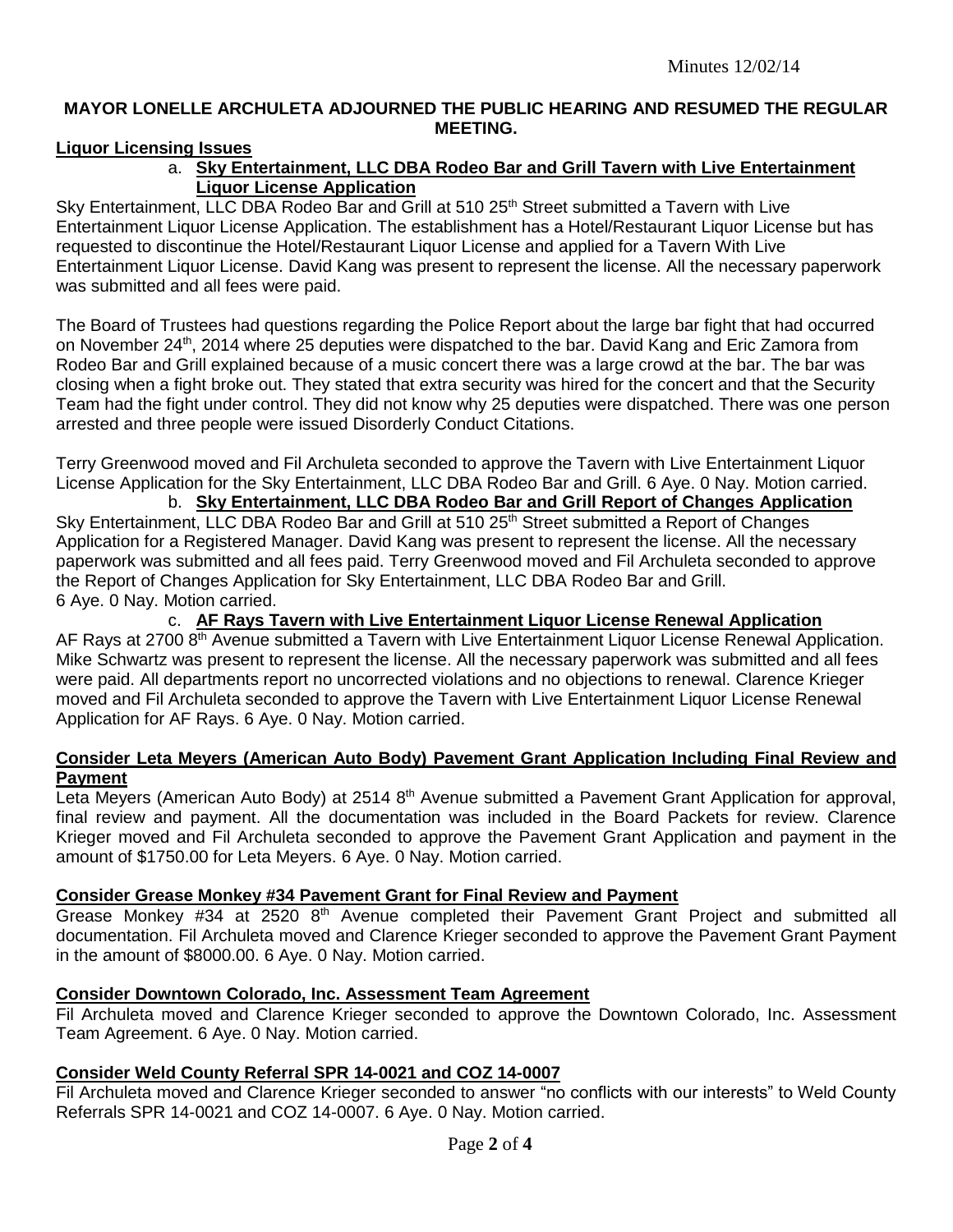# **MAYOR LONELLE ARCHULETA ADJOURNED THE PUBLIC HEARING AND RESUMED THE REGULAR MEETING.**

# **Liquor Licensing Issues**

# a. **Sky Entertainment, LLC DBA Rodeo Bar and Grill Tavern with Live Entertainment Liquor License Application**

Sky Entertainment, LLC DBA Rodeo Bar and Grill at 510 25<sup>th</sup> Street submitted a Tavern with Live Entertainment Liquor License Application. The establishment has a Hotel/Restaurant Liquor License but has requested to discontinue the Hotel/Restaurant Liquor License and applied for a Tavern With Live Entertainment Liquor License. David Kang was present to represent the license. All the necessary paperwork was submitted and all fees were paid.

The Board of Trustees had questions regarding the Police Report about the large bar fight that had occurred on November 24<sup>th</sup>, 2014 where 25 deputies were dispatched to the bar. David Kang and Eric Zamora from Rodeo Bar and Grill explained because of a music concert there was a large crowd at the bar. The bar was closing when a fight broke out. They stated that extra security was hired for the concert and that the Security Team had the fight under control. They did not know why 25 deputies were dispatched. There was one person arrested and three people were issued Disorderly Conduct Citations.

Terry Greenwood moved and Fil Archuleta seconded to approve the Tavern with Live Entertainment Liquor License Application for the Sky Entertainment, LLC DBA Rodeo Bar and Grill. 6 Aye. 0 Nay. Motion carried.

b. **Sky Entertainment, LLC DBA Rodeo Bar and Grill Report of Changes Application** Sky Entertainment, LLC DBA Rodeo Bar and Grill at 510 25<sup>th</sup> Street submitted a Report of Changes Application for a Registered Manager. David Kang was present to represent the license. All the necessary paperwork was submitted and all fees paid. Terry Greenwood moved and Fil Archuleta seconded to approve the Report of Changes Application for Sky Entertainment, LLC DBA Rodeo Bar and Grill. 6 Aye. 0 Nay. Motion carried.

c. **AF Rays Tavern with Live Entertainment Liquor License Renewal Application** AF Rays at 2700 8<sup>th</sup> Avenue submitted a Tavern with Live Entertainment Liquor License Renewal Application. Mike Schwartz was present to represent the license. All the necessary paperwork was submitted and all fees were paid. All departments report no uncorrected violations and no objections to renewal. Clarence Krieger moved and Fil Archuleta seconded to approve the Tavern with Live Entertainment Liquor License Renewal Application for AF Rays. 6 Aye. 0 Nay. Motion carried.

#### **Consider Leta Meyers (American Auto Body) Pavement Grant Application Including Final Review and Payment**

Leta Meyers (American Auto Body) at 2514 8<sup>th</sup> Avenue submitted a Pavement Grant Application for approval, final review and payment. All the documentation was included in the Board Packets for review. Clarence Krieger moved and Fil Archuleta seconded to approve the Pavement Grant Application and payment in the amount of \$1750.00 for Leta Meyers. 6 Aye. 0 Nay. Motion carried.

## **Consider Grease Monkey #34 Pavement Grant for Final Review and Payment**

Grease Monkey #34 at 2520 8<sup>th</sup> Avenue completed their Pavement Grant Project and submitted all documentation. Fil Archuleta moved and Clarence Krieger seconded to approve the Pavement Grant Payment in the amount of \$8000.00. 6 Aye. 0 Nay. Motion carried.

# **Consider Downtown Colorado, Inc. Assessment Team Agreement**

Fil Archuleta moved and Clarence Krieger seconded to approve the Downtown Colorado, Inc. Assessment Team Agreement. 6 Aye. 0 Nay. Motion carried.

## **Consider Weld County Referral SPR 14-0021 and COZ 14-0007**

Fil Archuleta moved and Clarence Krieger seconded to answer "no conflicts with our interests" to Weld County Referrals SPR 14-0021 and COZ 14-0007. 6 Aye. 0 Nay. Motion carried.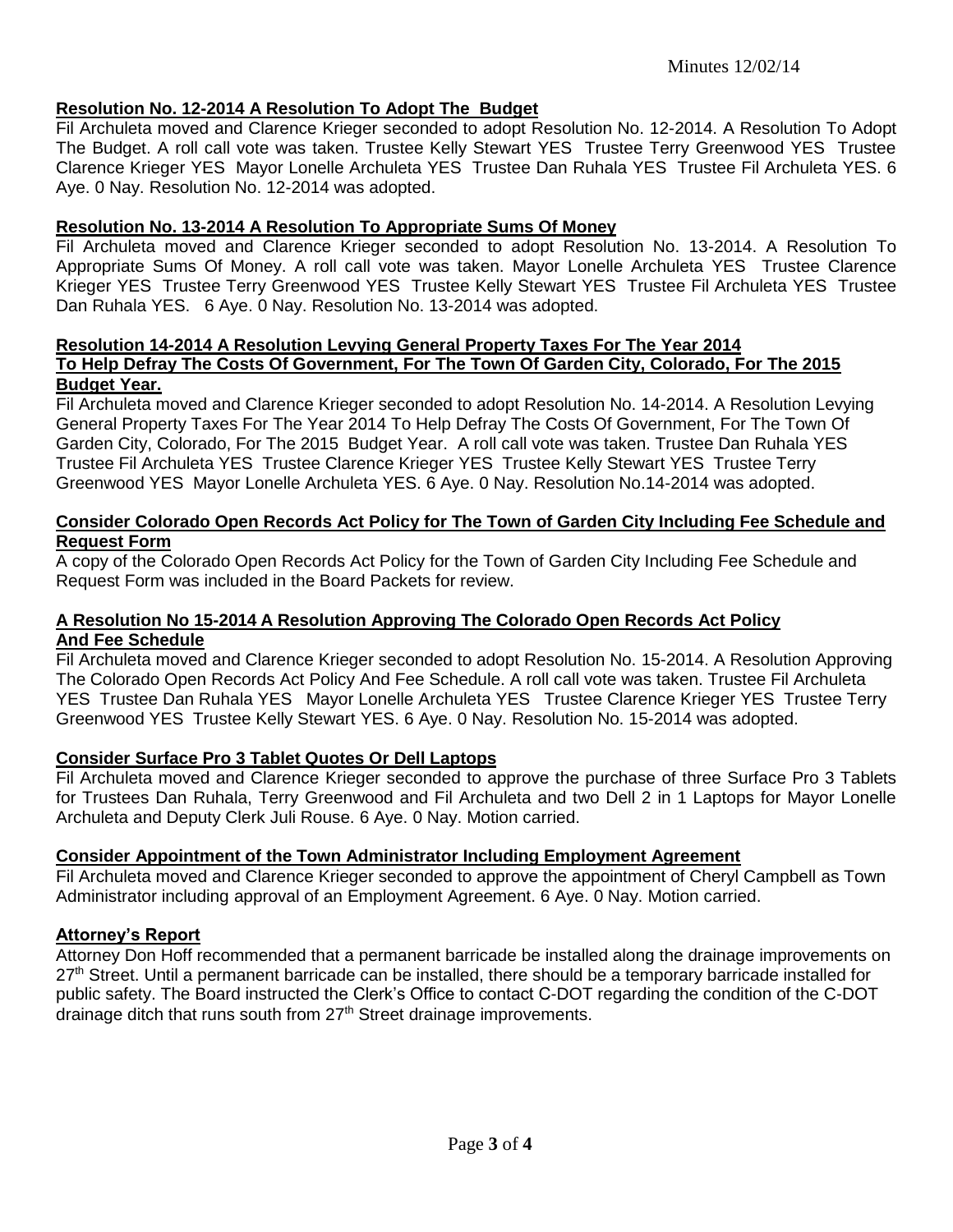# **Resolution No. 12-2014 A Resolution To Adopt The Budget**

Fil Archuleta moved and Clarence Krieger seconded to adopt Resolution No. 12-2014. A Resolution To Adopt The Budget. A roll call vote was taken. Trustee Kelly Stewart YES Trustee Terry Greenwood YES Trustee Clarence Krieger YES Mayor Lonelle Archuleta YES Trustee Dan Ruhala YES Trustee Fil Archuleta YES. 6 Aye. 0 Nay. Resolution No. 12-2014 was adopted.

# **Resolution No. 13-2014 A Resolution To Appropriate Sums Of Money**

Fil Archuleta moved and Clarence Krieger seconded to adopt Resolution No. 13-2014. A Resolution To Appropriate Sums Of Money. A roll call vote was taken. Mayor Lonelle Archuleta YES Trustee Clarence Krieger YES Trustee Terry Greenwood YES Trustee Kelly Stewart YES Trustee Fil Archuleta YES Trustee Dan Ruhala YES. 6 Aye. 0 Nay. Resolution No. 13-2014 was adopted.

#### **Resolution 14-2014 A Resolution Levying General Property Taxes For The Year 2014 To Help Defray The Costs Of Government, For The Town Of Garden City, Colorado, For The 2015 Budget Year.**

Fil Archuleta moved and Clarence Krieger seconded to adopt Resolution No. 14-2014. A Resolution Levying General Property Taxes For The Year 2014 To Help Defray The Costs Of Government, For The Town Of Garden City, Colorado, For The 2015 Budget Year. A roll call vote was taken. Trustee Dan Ruhala YES Trustee Fil Archuleta YES Trustee Clarence Krieger YES Trustee Kelly Stewart YES Trustee Terry Greenwood YES Mayor Lonelle Archuleta YES. 6 Aye. 0 Nay. Resolution No.14-2014 was adopted.

### **Consider Colorado Open Records Act Policy for The Town of Garden City Including Fee Schedule and Request Form**

A copy of the Colorado Open Records Act Policy for the Town of Garden City Including Fee Schedule and Request Form was included in the Board Packets for review.

# **A Resolution No 15-2014 A Resolution Approving The Colorado Open Records Act Policy And Fee Schedule**

Fil Archuleta moved and Clarence Krieger seconded to adopt Resolution No. 15-2014. A Resolution Approving The Colorado Open Records Act Policy And Fee Schedule. A roll call vote was taken. Trustee Fil Archuleta YES Trustee Dan Ruhala YES Mayor Lonelle Archuleta YES Trustee Clarence Krieger YES Trustee Terry Greenwood YES Trustee Kelly Stewart YES. 6 Aye. 0 Nay. Resolution No. 15-2014 was adopted.

## **Consider Surface Pro 3 Tablet Quotes Or Dell Laptops**

Fil Archuleta moved and Clarence Krieger seconded to approve the purchase of three Surface Pro 3 Tablets for Trustees Dan Ruhala, Terry Greenwood and Fil Archuleta and two Dell 2 in 1 Laptops for Mayor Lonelle Archuleta and Deputy Clerk Juli Rouse. 6 Aye. 0 Nay. Motion carried.

## **Consider Appointment of the Town Administrator Including Employment Agreement**

Fil Archuleta moved and Clarence Krieger seconded to approve the appointment of Cheryl Campbell as Town Administrator including approval of an Employment Agreement. 6 Aye. 0 Nay. Motion carried.

# **Attorney's Report**

Attorney Don Hoff recommended that a permanent barricade be installed along the drainage improvements on 27<sup>th</sup> Street. Until a permanent barricade can be installed, there should be a temporary barricade installed for public safety. The Board instructed the Clerk's Office to contact C-DOT regarding the condition of the C-DOT drainage ditch that runs south from  $27<sup>th</sup>$  Street drainage improvements.